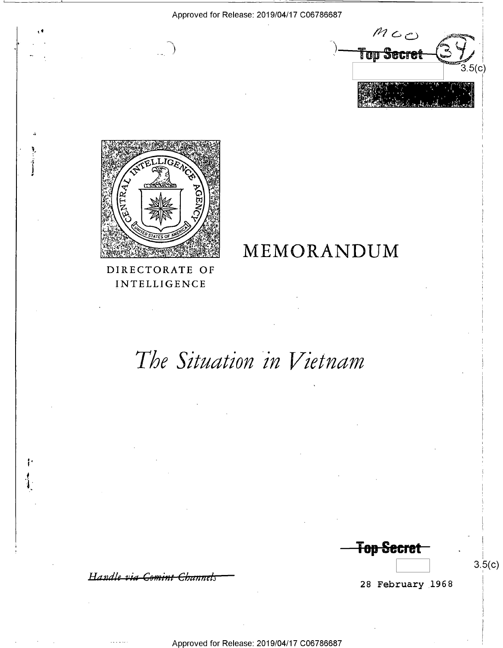

## DIRECTORATE OF INTELLIGENCE

## MEMORANDUM

# The Situation in Vietnam

Handle via Comint Channels

Ŀ

28 February 1968

 $3.5(c)$ 

**Top Secret**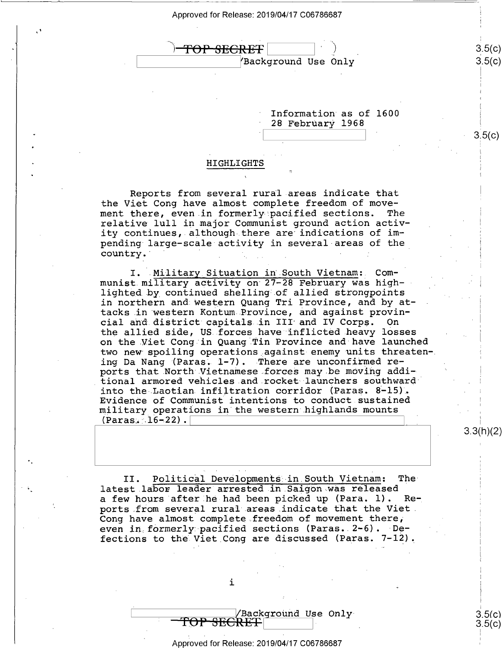

\ YBackground Use Only

Information as of 1600 ' 28 February 1968

ii?

## HIGHLIGHTS

Reports from several rural areas indicate that the Viet Cong have almost complete freedom of move-<br>ment there, even in formerly pacified sections. The ment there, even in formerly pacified sections. relative lull in major Communist ground action activity continues, although there are indications of impending large—scale activity in several-areas of the country.  $\mathcal{L} = \{ \mathcal{L}_1, \ldots, \mathcal{L}_N \}$  , where  $\mathcal{L}_2$ 

I. Military Situation in South Vietnam: Communist.military activity on 27-28 February was highlighted by continued shelling of allied strongpoints in northern and western Quang Tri Province, and by attacks.in western Kontum Province, and against provincial and district capitals in III and IV Corps. On the allied side, US forces have inflicted heavy losses on the.Viet Cong in Quang Tin Province and have launched two new spoiling operations against enemy units threatening Da Nang (Paras.  $1-7$ ). There are unconfirmed reports that North Vietnamese forces may be moving additional armored vehicles.and.rocket launchers southward\* into the-Laotian infiltration corridor (Paras. 8-l5). Evidence of Communist intentions to conduct sustained military operations in the western highlands mounts  $(Paras. 16-22)$ .

ა.პ $($ N $)($ ∠ $)$ 

 $3.5(c)$  $3.5(c)$ 

 $3.5(c)$ 

II. Political Developments in.South Vietnam: Thelatest labor leader arrested in Saigon was released<br>a few hours after he had been picked up (Para. 1). Rea few hours after he had been picked up (Para. 1). ports from several rural areas.indicate that the Viet. Cong have almost complete freedom of movement there, even in formerly pacified sections (Paras.  $2-6$ ). Defections to the Viet Cong are discussed (Paras. 7-12).

i

/Background Use Only<br>TOP SECRET|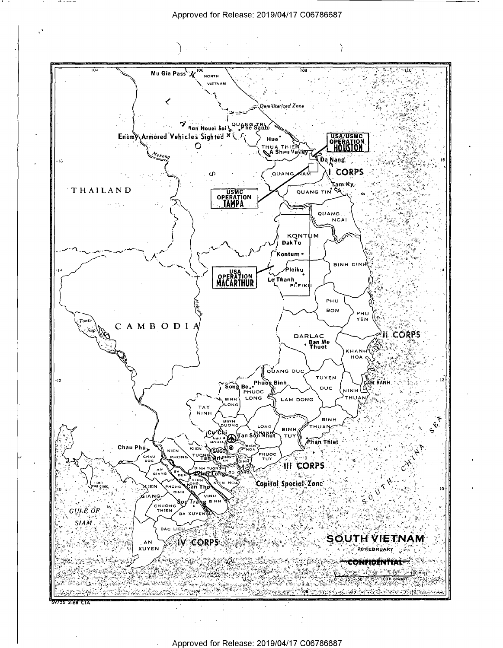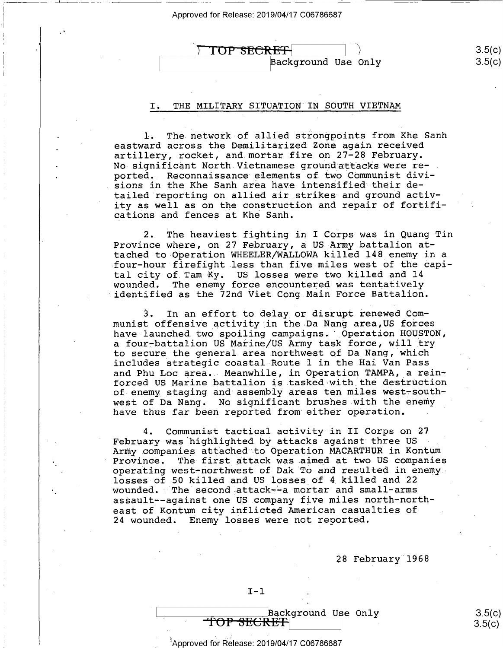

## I. THE MILITARY SITUATION IN SOUTH VIETNAM

The network of allied strongpoints from Khe Sanh eastward across the Demilitarized Zone again received artillery, rocket, and mortar fire on 27-28 February. No-significant North Vietnamese groundattacks were reported. Reconnaissance elements of two Communist divisions in the Khe Sanh area have intensified their detailed reporting on allied air strikes and ground activity as well as on the construction and repair of fortifications and fences at Khe Sanh.

2. The heaviest fighting in I Corps-was in Quang Tin Province where, on 27 February, a US Army battalion attached to Operation WHEELER/WALLOWA killed l48 enemy in a four—hour firefight less than five miles west of the capital city of Tam Ky. US losses were two killed and 14 wounded. The enemy force encountered was tentatively identified as the 72nd Viet Cong Main Force Battalion.

3. In an effort to delay or disrupt renewed Communist offensive activity in the Da Nang area,US forces have launched two spoiling campaigns. Operation HOUSTON, a four-battalion US Marine/US Army task force, will try to secure the general area.northwest of Da Nang, which includes strategic coastal Route 1 in the Hai Van Pass and Phu Loc area. Meanwhile, in Operation TAMPA, a reinforced US Marine battalion is.tasked-with the destruction of enemy staging and assembly areas ten miles west-southwest of Da Nang. No significant brushes with the enemy have thus far been reported from either operation.

;

4. Communist tactical activity in II Corps on 27 February was highlighted by attacks against three US Army companies attached to Operation MACARTHUR in Kontum<br>Province. The first attack was aimed at two US companies The first attack was aimed at two US companies operating west-northwest of Dak To and resulted in enemy losses of 50 killed and US losses of 4 killed and 22 wounded. The second attack--a mortar and small-arms assault-—against one US.company five miles north—north east of Kontum city inflicted American casualties of 24 wounded. Enemy losses were not reported.

28 February 1968

 $2F(x)$ 

# Background Use Only<br>TOP SECRET

the contract of the contract of the contract of the contract of the contract of the contract of the contract o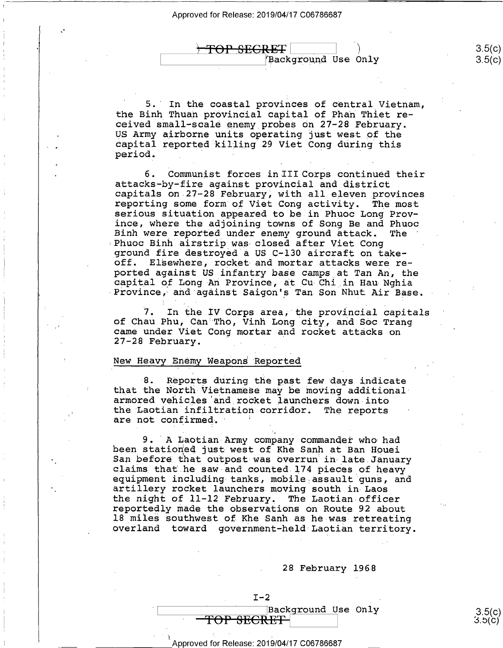.<br>ا

1 ir

 $-$ 

TOP SEGRET

Background Use Only

5. In the coastal provinces of central Vietnam, the Binh Thuan provincial capital of Phan Thiet received small—scale enemy probes on 27-28 February. capital reported killing 29 Viet Cong during this period. \_

6. Communist forces in III Corps continued their<br>attacks-by-fire against provincial and district<br>capitals on 27-28 February, with all eleven provinces<br>reporting some form of Viet Cong activity. The most<br>serious situation a ince, where the adjoining towns of Song Be and Phuoc<br>Binh were reported under enemy ground attack. The Bhuoc Binh airstrip was closed after Viet Cong<br>ground fire destroyed a US C-130 aircraft on takeoff. Elsewhere, rocket and mortar attacks were re-<br>ported against US infantry base camps at Tan An, the capital of Long An Province, at Cu Chi in Hau Nghia<br>Province, and against Saigon's Tan Son Nhut Air Base.

7. In the IV Corps area, the provincial capitals of Chau Phu, Can Tho, Vinh Long city, and Soc Trang came under Viet Cong mortar and rocket attacks on 27-28 February.

## New Heavy Enemy Weapons Reported

8. Reports during the past few days indicate that the North-Vietnamese may be moving additional-armored vehicles and rocket launchers down into the Laotian infiltration corridor. The reports are not confirmed.

9. A Laotian Army company commander who had<br>been stationed just west of Khe Sanh at Ban Houei San before that outpost was overrun in late January<br>claims that he saw and counted 174 pieces of heavy<br>equipment including tanks, mobile assault guns, and<br>artillery rocket launchers moving south in Laos the night of 11-12 February. The Laotian officer reportedly made the observations on Route 92 about<br>18 miles southwest of Khe Sanh as he was retreating overland toward government-held Laotian territory.

28 February 1968

## $I-2$  $\begin{array}{c|c|c|c} \hline \text{Background Use Only} & 3.5(c) \ \hline \text{TOP} & \text{SECTION} & 3.5(c) \end{array}$

#### H Approved for Release: 2019/04/17 C06786687 Z

 $\lambda$  $3.5(c)$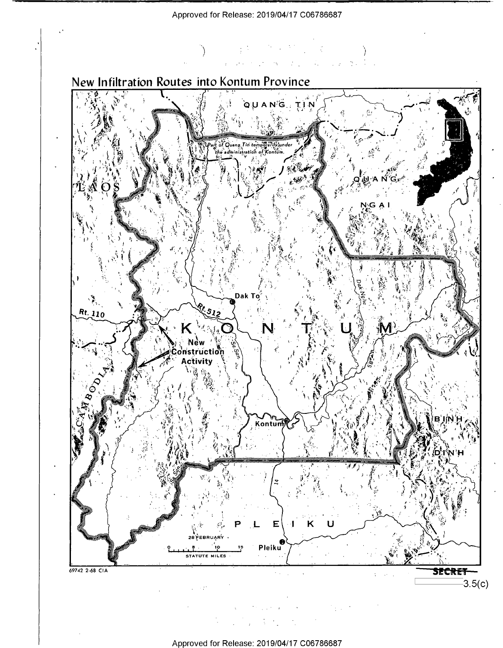

 $\sim 10^7$  $\frac{1}{2}$  $\bar{z}$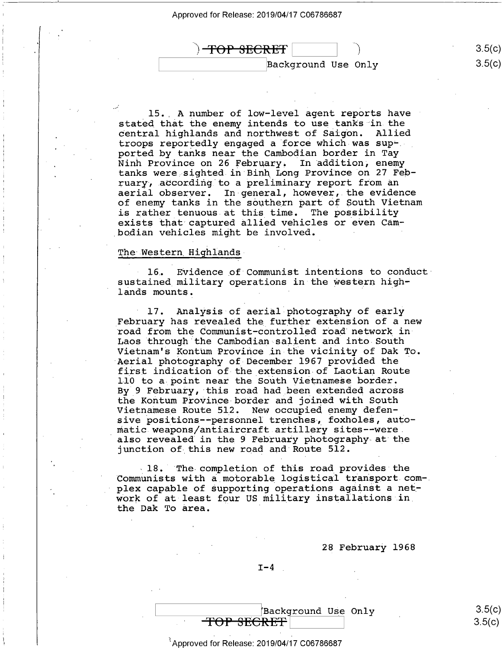

15. A number of low-level agent reports have stated that the enemy intends to use tanks in the central highlands and northwest of Saigon. Allied central highlands and northwest of Saigon. troops reportedly engaged a force which was supported by tanks near the Cambodian border in Tay tanks were sighted in Binh Long Province on 27 February, according to a preliminary report from an aerial observer. In general, however, the evidence of enemy tanks in the southern part of South Vietnam is rather tenuous at this time. The possibility exists that captured allied vehicles or even Cambodian vehicles might be involved.

### The Western Highlands

/

1 r1

16. Evidence of Communist intentions to conduct sustained military operations in the western highlands mounts.

17. Analysis of aerial photography of early February has revealed the further extension of a new road from the Communist-controlled road network in<br>Laos through the Cambodian salient and into South Vietnam's Kontum Province in the vicinity of Dak To.<br>Aerial photography of December 1967 provided the first indication of the extension of Laotian Route ll0 to a point near the South Vietnamese border. By 9 February, this road had been extended across the Kontum Province-border and joined with South Vietnamese Route 512. New occupied enemy defensive positions--personnel trenches, foxholes, automatic weapons/antiaircraft artillery sites-—were. also revealed in the 9 February photography at the junction of this new road and Route 512.

18. The completion of this road provides the Communists with a\_motorable logistical transport com—. plex capable of supporting operations against a network of at least four US military installations in\_ the Dak To area. '

28 February 1968

 $I-4$ 

| Background Use Only                      |        |
|------------------------------------------|--------|
| $T \cap D$ $\cap T \cap T$<br>TUL DEURET | 3.5(c) |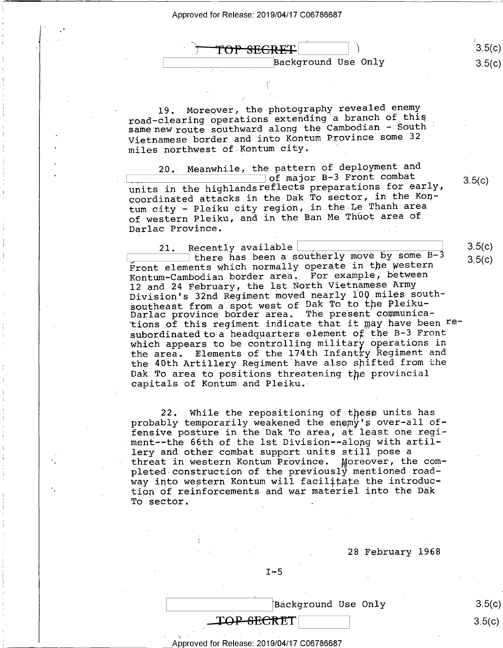TOP SEGRE.  $\beta$  Background Use Only  $3.5 (c)$ 

19. Moreover, the-photography revealed enemy road—clearing operations extending a branch of this\_ same new route southward along the Cambodian - South Vietnamese border and into Kontum Province some <sup>32</sup> miles northwest of Kontum city.

20. Meanwhile, the pattern of deployment and<br>  $\begin{array}{ccc}\n 20. & \text{Mean} & \text{Mean} \\
22. & \text{Mean} & \text{Mean} \\
22. & \text{Mean} & \text{Mean} \\
22. & \text{Mean} & \text{Mean} \\
22. & \text{Mean} & \text{Mean} \\
22. & \text{Mean} & \text{Mean} \\
22. & \text{Mean} & \text{Mean} \\
22. & \text{Mean} & \text{Mean} \\
22. & \text{Mean} & \text{Mean} \\
22. & \text{Mean} & \text{$ units in the highlandsreflects preparations for early, coordinated attacks in the Dak To sector, in the Kontum city - Pleiku city region, in the Le Thanh area of western Pleiku, and in the Ban Me Thuot area of Darlac Province.

1 1>

5 |

21. Recently available <u>Landon and there</u> has been a southerly move by some B-3 Front elements which normally operate in the western Kontum-Cambodian border area. For example, between 12 and 24 February, the lst North Vietnamese Army Division's 32nd Regiment moved nearly 100 miles southsoutheast from a spot west of Dak To to the Pleiku-Darlac province border area. The present communications of this regiment indicate that it may have been resubordinated to a headquarters element of the B-3 Front which appears to be controlling military operations in the area. Elements of the 174th Infantry Regiment and the 40th Artillery Regiment have also shifted from the Dak To area to positions threatening the provincial capitals of Kontum and Pleiku.

22.» While the repositioning of these units has probably temporarily weakened the enemy's over-all offensive posture in the Dak To area, at least one regiment——the 66th of the lst Division--along with artillery and.other combat support units still pose a threat in western Kontum Province. Moreover, the completed construction of the previously mentioned roadway into western Kontum will facilitate the introduction of reinforcements and war materiel into the Dak To sector.

 $\blacksquare$ 



Approved for Release: 2019/04/17 C06786687

 $3.5(c)$ 

 $3.5(c)$ 

 $3.5(c)$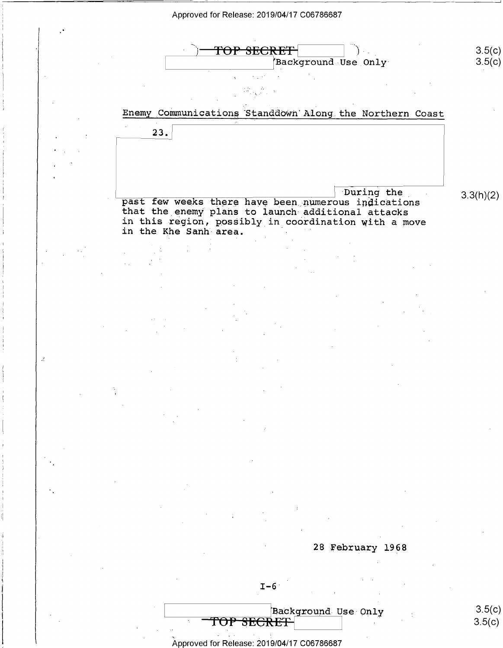<sup>|</sup> .

 $\mathcal{L}$ 



 $3.5(c)$ 

 $3.5(c)$ 

 $\mathcal{L}_{\text{max}}$ 

23.

## Enemy\_Communications'Standdown'Along.the Northern Coast

that the enemy plans to launch additional attacks in this region, possibly in coordination with a move in the Khe Sanh area. During the  $\frac{1}{2}$  past few weeks there have been numerous indications  $3.3(h)(2)$ 

28 February 1968

 $\begin{array}{|l|} \texttt{Background Use Only} & \texttt{3.5(c)} \ \texttt{REF} & \texttt{3.5(c)} \end{array}$ TOP SECRET

6 .

 $\sim$  '  $\sim$  '  $\sim$  '  $\sim$  '  $\sim$  '  $\sim$  '  $\sim$ Approved for Release: 2019/04/17 C06786687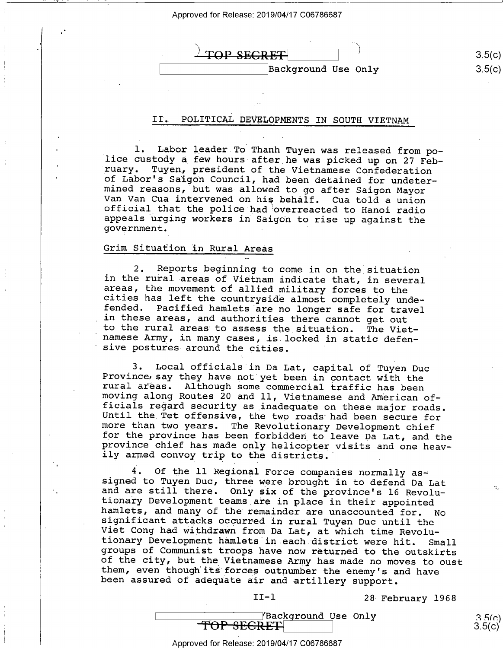TOP SEGRET Background Use Only 35(

 $3.5(c)$  $3.5(c)$ 

Q

 $3.5(c)$  $3.5(c)$ 

## II. POLITICAL DEVELOPMENTS IN SOUTH VIETNAM

l. Labor leader To Thanh Tuyen was released from po-<br>lice custody a few hours after he was picked up on 27 Feb-<br>ruary. Tuyen, president of the Vietnamese Confederation of Labor's Saigon Council, had been detained for undeter-<br>mined reasons, but was allowed to go after Saigon Mayor<br>Van Van Cua intervened on his behalf. Cua told a union<br>official that the police had overreacted to Hanoi rad

### Grim Situation in Rural Areas

2. Reports beginning to come in on the situation<br>in the rural areas of Vietnam indicate that, in several<br>areas, the movement of allied military forces to the<br>cities has left the countryside almost completely unde-<br>fended.

3. Local officials in Da Lat, capital of Tuyen Duc<br>Province say they have not yet been in contact with the<br>rural areas. Although some commercial traffic has been<br>moving along Routes 20 and 11, Vietnamese and American of-<br>f

4. Of the 11 Regional Force companies normally as-<br>signed to Tuyen Duc, three were brought in to defend Da Lat and are still there. Only six of the province's 16 Revolu-<br>tionary Development teams are in place in their appointed<br>hamlets, and many of the remainder are unaccounted for. No<br>significant attacks occurred in rural Tuyen Du

II—l 28 February 1968

*Mackground Use Only*<br>TOP SECRET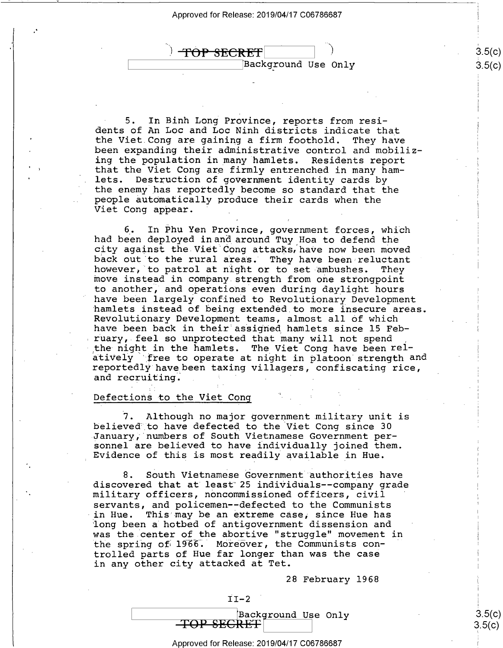$\Delta$ TOP SECRET T) \ [Background Use Only

 $3.5(c)$  $3.5 (c)$ 

 $3.5(c)$ <u>၁,၁</u>(C)

5. In Binh Long Province, reports from resi-<br>dents of An Loc and Loc Ninh districts indicate that the Viet Cong are gaining a firm foothold. They have been expanding their administrative control and mobiliz-<br>ing the population in many hamlets. Residents report that the Viet Cong are firmly entrenched in many ham-<br>lets. Destruction of government identity cards by the enemy has reportedly become so standard that the people automatically produce their cards when the Viet Cong appear.

6, In Phu Yen Province, government forces, which had been deployed inand around Tuy Hoa to defend the back out to the rural areas. They have been reluctant<br>however, to patrol at night or to set ambushes. They move instead in company strength from one strongpoint to another, and operations even during daylight hours have been largely confined to Revolutionary Development<br>hamlets instead of being extended to more insecure areas. Revolutionary Development teams, almost all of which have been back in their assigned hamlets since 15 Feb-<br>ruary, feel so unprotected that many will not spend the night in the hamlets. The Viet Cong have been relatively "free to operate at night in platoon strength and reportedly havebeen taxing villagers, confiscating rice, and recruiting. . 1

## Defections to the Viet Cong

7. Although no major government military unit is believed to have defected to the Viet Cong since 30 January, numbers of South Vietnamese Government per-<br>sonnel are believed to have individually joined them. Evidence of this is most readily available in Hue.

8. South Vietnamese Government authorities have discovered that at'least"25 individuals—-company grade military officers, noncommissioned officers, civil servants, and policemen--defected to the Communists in Hue. This may be an extreme case, since Hue has long been a hotbed of antigovernment dissension and was the center of the abortive "struggle" movement in the spring of 1966. Moreover, the Communists controlled parts of Hue far longer than was the case in any other city attacked at Tet.

28 February 1968

 $II-2$ EBackground Use Only<br>TOP SECRET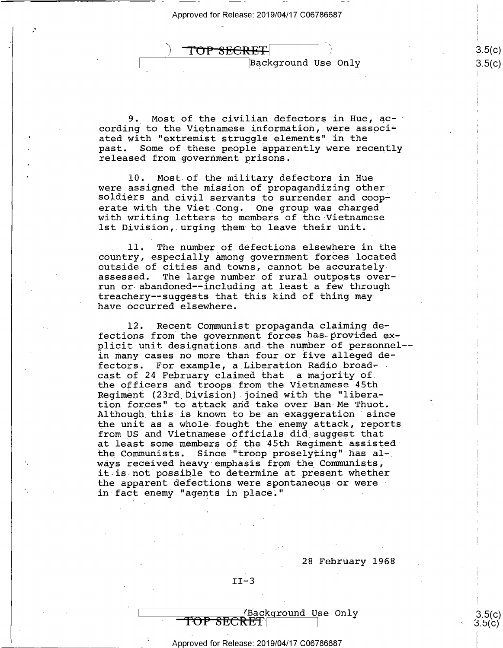TOP SECRET

Background Use Only

 $\mathbf{r}$  $5(c)$  $3.5(c)$ 

 $3.5(c)$  $3.5(c)$ 

9. Most of the civilian defectors in Hue, ac-  $\overline{a}$ cording to the Vietnamese information, were associated with "extremist struggle elements" in the past. Some of these people apparently were recently released from government prisons,

l0. Most of the military defectors in Hue were assigned the mission of propagandizing other soldiers and civil servants to surrender and cooperate with the Viet Cong. One group was charged with writing letters to members of the Vietnamese lst Division, urging them to leave their unit.

ll. The number of defections elsewhere in the country, especially among government forces locatedoutside of cities and towns, cannot be accurately assessed. The large number of rural outposts over The large number of rural outposts overrun or abandoned--including at least a few through treachery—-suggests that this kind of thing mayhave occurred elsewhere.

l2. Recent Communist propaganda claiming defections from the government forces has provided explicit unit designations and the number of personnel— in many cases no more than four or five alleged defectors. For example, a Liberation Radio broadcast of 24 February claimed that\_ a majority of. the officers and troops from the Vietnamese 45th Regiment (23rd Division) joined with the "liberation forces" to attack and take over Ban Me Thuot. Although this is known to be an exaggeration since the unit as a whole fought the enemy attack, reports from US and Vietnamese officials did\_suggest that at least some members of the 45th Regiment assistedthe Communists. Since "troop proselyting" has always received heavy emphasis from the Communists, it is not possible to determine at present whether the apparent defections were spontaneous or were in fact enemy "agents in place."

28 February 1968

 $II-3$ 

 $\overline{\phantom{0}}$ 

### Approved for Release: 2019/04/17 C06786687

**TOP SECRET**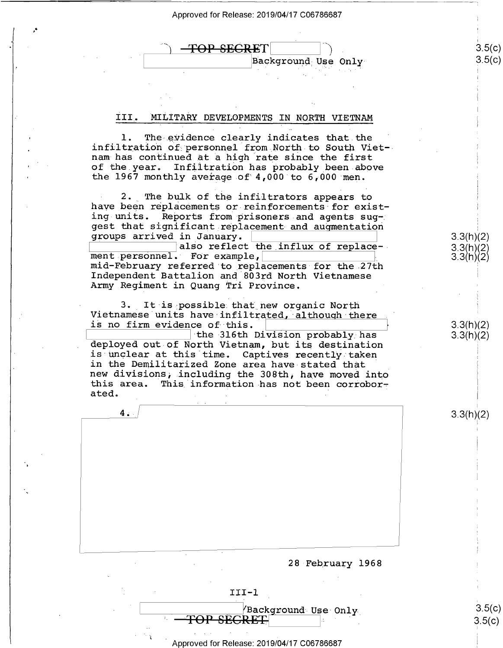<del>FOP SECRE</del>T Background Use Only-

#### III\_. MILITARY DEVELOPMENTS IN NORTH VIETNAM

l. 1. The evidence clearly indicates that the<br>infiltration of personnel from North to South Viet--<br>nam has continued at a high rate since the first of the year. Infiltration has probably been above the 1967 monthly average of 4,000 to 6,000 men.

2. The bulk of the infiltrators appears to have been replacements or reinforcements for exist-<br>ing units. Reports from prisoners and agents suggest that significant replacement and augmentation groups arrived in January. \ \

K:::::::::::::]also reflect the influx of replace- mid-February referred to replacements for the 27th<br>Independent Battalion and 803rd North Vietnamese Army Regiment in Quang Tri Province.

3. It is possible that new organic North Vietnamese units have infiltrated, although there is no firm evidence of this.<br>the 316th Division probably has

deployed out of North Vietnam, but its destination<br>is unclear at this time. Captives recently taken in the Demilitarized Zone area have stated that<br>new divisions, including the 308th, have moved into<br>this area. This information has not been corroborated.

 $3.3(h)(2)$ 

 $3.5(c)$  $3.5(c)$ 

3.3(h)(2) 3.3(h)(2) 3.3(h)(2)

 $3.3(h)(2)$  $3.3(h)(2)$ 

 $3.5(c)$  $3.5(c)$ 

28 February 1968

 $III - 1$  $\rule[-1em]{0pt}{0pt}$  YBackground Use-Only<br>RECRET

Approved for Release: 2019/04/17 C06786687

i '

 $4.1$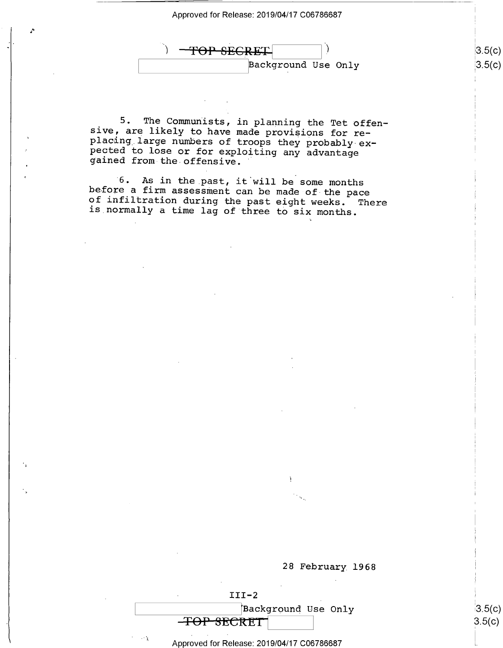$\Lambda$ 

<del>TOP SEGRET</del> W Background Use Only

|၁.၁(C) ၁(၄)

 $3.5(c)$  $3.5(c)$ 

5. The Communists, in planning the Tet offen-<br>sive, are likely to have made provisions for re-<br>placing large numbers of troops they probably ex-<br>pected to lose or for exploiting any advantage<br>gained from-the-offensive.

'6. As in the past, it will be some months before a firm assessment can be made of the pace of infiltration during the past eight weeks. There is normally a time lag of three to six months.



 $III-2$ Background Use Only<br>TOP SECRET

 $\frac{1}{3}$  Approved for Release: 2019/04/17 C06786687